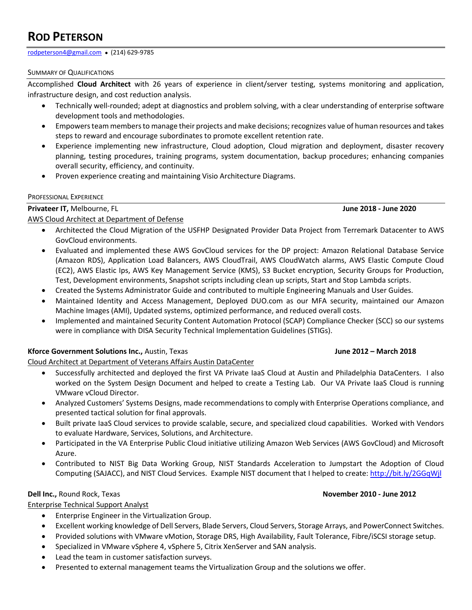# **ROD PETERSON**

[rodpeterson4@gmail.com](mailto:rodpeterson4@gmail.com) ● (214) 629-9785

#### SUMMARY OF QUALIFICATIONS

Accomplished **Cloud Architect** with 26 years of experience in client/server testing, systems monitoring and application, infrastructure design, and cost reduction analysis.

- Technically well-rounded; adept at diagnostics and problem solving, with a clear understanding of enterprise software development tools and methodologies.
- Empowers team members to manage their projects and make decisions; recognizes value of human resources and takes steps to reward and encourage subordinates to promote excellent retention rate.
- Experience implementing new infrastructure, Cloud adoption, Cloud migration and deployment, disaster recovery planning, testing procedures, training programs, system documentation, backup procedures; enhancing companies overall security, efficiency, and continuity.
- Proven experience creating and maintaining Visio Architecture Diagrams.

#### PROFESSIONAL EXPERIENCE

**Privateer IT,** Melbourne, FL **June 2018 - June 2020**

### AWS Cloud Architect at Department of Defense

- Architected the Cloud Migration of the USFHP Designated Provider Data Project from Terremark Datacenter to AWS GovCloud environments.
- Evaluated and implemented these AWS GovCloud services for the DP project: Amazon Relational Database Service (Amazon RDS), Application Load Balancers, AWS CloudTrail, AWS CloudWatch alarms, AWS Elastic Compute Cloud (EC2), AWS Elastic Ips, AWS Key Management Service (KMS), S3 Bucket encryption, Security Groups for Production, Test, Development environments, Snapshot scripts including clean up scripts, Start and Stop Lambda scripts.
- Created the Systems Administrator Guide and contributed to multiple Engineering Manuals and User Guides.
- Maintained Identity and Access Management, Deployed DUO.com as our MFA security, maintained our Amazon Machine Images (AMI), Updated systems, optimized performance, and reduced overall costs.
- Implemented and maintained Security Content Automation Protocol (SCAP) Compliance Checker (SCC) so our systems were in compliance with DISA Security Technical Implementation Guidelines (STIGs).

### **Kforce Government Solutions Inc.,** Austin, Texas **June 2012 – March 2018**

Cloud Architect at Department of Veterans Affairs Austin DataCenter

- Successfully architected and deployed the first VA Private IaaS Cloud at Austin and Philadelphia DataCenters. I also worked on the System Design Document and helped to create a Testing Lab. Our VA Private IaaS Cloud is running VMware vCloud Director.
- Analyzed Customers' Systems Designs, made recommendations to comply with Enterprise Operations compliance, and presented tactical solution for final approvals.
- Built private IaaS Cloud services to provide scalable, secure, and specialized cloud capabilities. Worked with Vendors to evaluate Hardware, Services, Solutions, and Architecture.
- Participated in the VA Enterprise Public Cloud initiative utilizing Amazon Web Services (AWS GovCloud) and Microsoft Azure.
- Contributed to NIST Big Data Working Group, NIST Standards Acceleration to Jumpstart the Adoption of Cloud Computing (SAJACC), and NIST Cloud Services. Example NIST document that I helped to create[: http://bit.ly/2GGqWjl](http://bit.ly/2GGqWjl)

Enterprise Technical Support Analyst

- Enterprise Engineer in the Virtualization Group.
- Excellent working knowledge of Dell Servers, Blade Servers, Cloud Servers, Storage Arrays, and PowerConnect Switches.
- Provided solutions with VMware vMotion, Storage DRS, High Availability, Fault Tolerance, Fibre/iSCSI storage setup.
- Specialized in VMware vSphere 4, vSphere 5, Citrix XenServer and SAN analysis.
- Lead the team in customer satisfaction surveys.
- Presented to external management teams the Virtualization Group and the solutions we offer.

### **Dell Inc.,** Round Rock, Texas **November 2010 - June 2012**